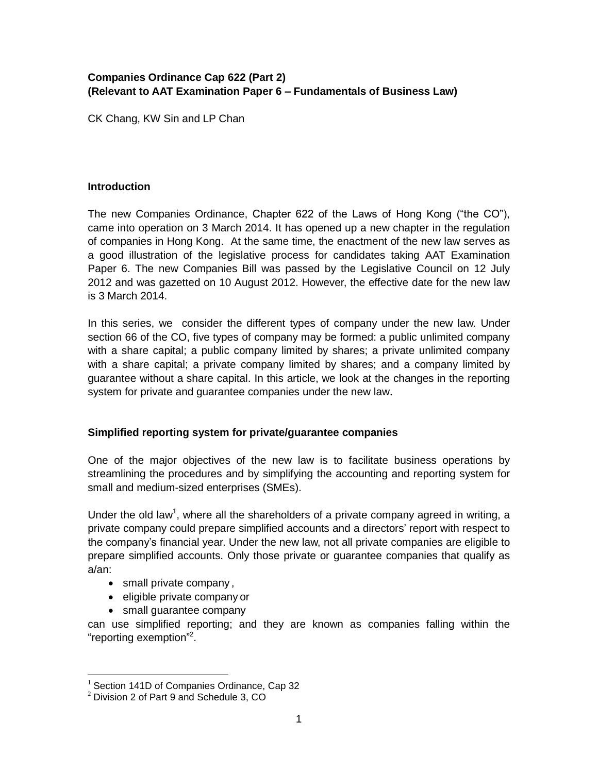# **Companies Ordinance Cap 622 (Part 2) (Relevant to AAT Examination Paper 6 – Fundamentals of Business Law)**

CK Chang, KW Sin and LP Chan

## **Introduction**

The new Companies Ordinance, Chapter 622 of the Laws of Hong Kong ("the CO"), came into operation on 3 March 2014. It has opened up a new chapter in the regulation of companies in Hong Kong. At the same time, the enactment of the new law serves as a good illustration of the legislative process for candidates taking AAT Examination Paper 6. The new Companies Bill was passed by the Legislative Council on 12 July 2012 and was gazetted on 10 August 2012. However, the effective date for the new law is 3 March 2014.

In this series, we consider the different types of company under the new law. Under section 66 of the CO, five types of company may be formed: a public unlimited company with a share capital; a public company limited by shares; a private unlimited company with a share capital; a private company limited by shares; and a company limited by guarantee without a share capital. In this article, we look at the changes in the reporting system for private and guarantee companies under the new law.

# **Simplified reporting system for private/guarantee companies**

One of the major objectives of the new law is to facilitate business operations by streamlining the procedures and by simplifying the accounting and reporting system for small and medium-sized enterprises (SMEs).

Under the old law<sup>1</sup>, where all the shareholders of a private company agreed in writing, a private company could prepare simplified accounts and a directors' report with respect to the company's financial year. Under the new law, not all private companies are eligible to prepare simplified accounts. Only those private or guarantee companies that qualify as a/an:

- small private company,
- eligible private company or
- small guarantee company

can use simplified reporting; and they are known as companies falling within the "reporting exemption"<sup>2</sup>.

 $\overline{a}$  $1$  Section 141D of Companies Ordinance, Cap 32

 $2$  Division 2 of Part 9 and Schedule 3, CO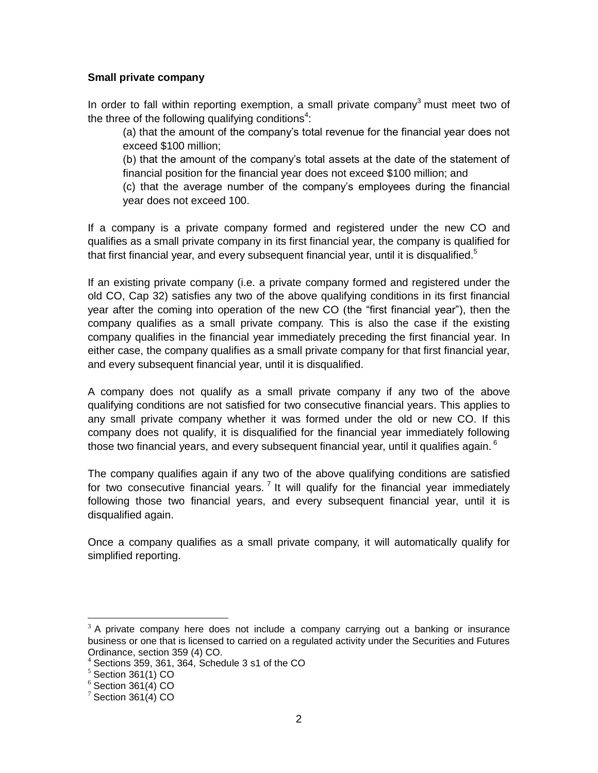### **Small private company**

In order to fall within reporting exemption, a small private company<sup>3</sup> must meet two of the three of the following qualifying conditions<sup>4</sup>:

(a) that the amount of the company's total revenue for the financial year does not exceed \$100 million;

(b) that the amount of the company's total assets at the date of the statement of financial position for the financial year does not exceed \$100 million; and

(c) that the average number of the company's employees during the financial year does not exceed 100.

If a company is a private company formed and registered under the new CO and qualifies as a small private company in its first financial year, the company is qualified for that first financial year, and every subsequent financial year, until it is disqualified.<sup>5</sup>

If an existing private company (i.e. a private company formed and registered under the old CO, Cap 32) satisfies any two of the above qualifying conditions in its first financial year after the coming into operation of the new CO (the "first financial year"), then the company qualifies as a small private company. This is also the case if the existing company qualifies in the financial year immediately preceding the first financial year. In either case, the company qualifies as a small private company for that first financial year, and every subsequent financial year, until it is disqualified.

A company does not qualify as a small private company if any two of the above qualifying conditions are not satisfied for two consecutive financial years. This applies to any small private company whether it was formed under the old or new CO. If this company does not qualify, it is disqualified for the financial year immediately following those two financial years, and every subsequent financial year, until it qualifies again.  $^6$ 

The company qualifies again if any two of the above qualifying conditions are satisfied for two consecutive financial years.  $7$  It will qualify for the financial year immediately following those two financial years, and every subsequent financial year, until it is disqualified again.

Once a company qualifies as a small private company, it will automatically qualify for simplified reporting.

 $\overline{a}$ 

 $3$  A private company here does not include a company carrying out a banking or insurance business or one that is licensed to carried on a regulated activity under the Securities and Futures Ordinance, section 359 (4) CO.

<sup>4</sup> Sections 359, 361, 364, Schedule 3 s1 of the CO

 $5$  Section 361(1) CO

 $6$  Section 361(4) CO

 $7$  Section 361(4) CO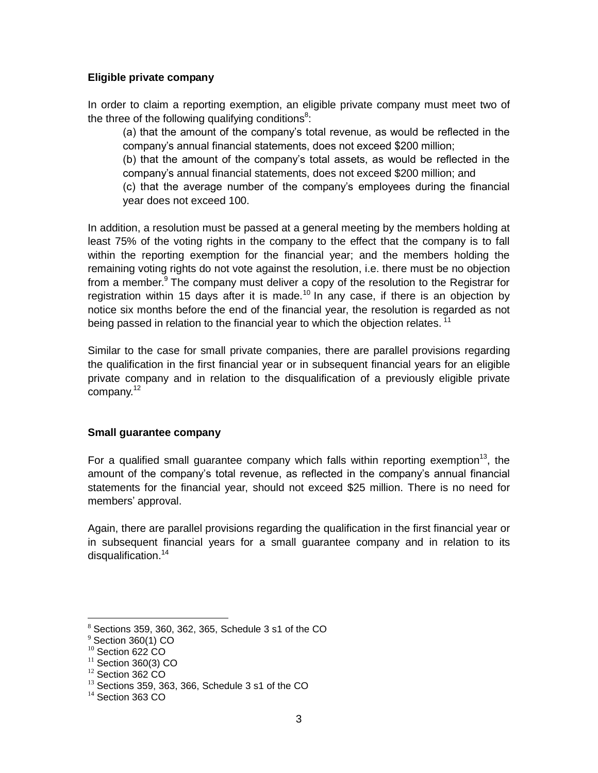### **Eligible private company**

In order to claim a reporting exemption, an eligible private company must meet two of the three of the following qualifying conditions<sup>8</sup>:

(a) that the amount of the company's total revenue, as would be reflected in the company's annual financial statements, does not exceed \$200 million;

(b) that the amount of the company's total assets, as would be reflected in the company's annual financial statements, does not exceed \$200 million; and

(c) that the average number of the company's employees during the financial year does not exceed 100.

In addition, a resolution must be passed at a general meeting by the members holding at least 75% of the voting rights in the company to the effect that the company is to fall within the reporting exemption for the financial year; and the members holding the remaining voting rights do not vote against the resolution, i.e. there must be no objection from a member.<sup>9</sup> The company must deliver a copy of the resolution to the Registrar for registration within 15 days after it is made.<sup>10</sup> In any case, if there is an objection by notice six months before the end of the financial year, the resolution is regarded as not being passed in relation to the financial year to which the objection relates.  $11$ 

Similar to the case for small private companies, there are parallel provisions regarding the qualification in the first financial year or in subsequent financial years for an eligible private company and in relation to the disqualification of a previously eligible private company.<sup>12</sup>

### **Small guarantee company**

For a qualified small guarantee company which falls within reporting exemption<sup>13</sup>, the amount of the company's total revenue, as reflected in the company's annual financial statements for the financial year, should not exceed \$25 million. There is no need for members' approval.

Again, there are parallel provisions regarding the qualification in the first financial year or in subsequent financial years for a small guarantee company and in relation to its disqualification.<sup>14</sup>

 $\overline{a}$  $8$  Sections 359, 360, 362, 365, Schedule 3 s1 of the CO

 $9$  Section 360(1) CO

<sup>&</sup>lt;sup>10</sup> Section 622 CO

 $11$  Section 360(3) CO

<sup>&</sup>lt;sup>12</sup> Section 362 CO

<sup>&</sup>lt;sup>13</sup> Sections 359, 363, 366, Schedule 3 s1 of the CO

 $14$  Section 363 CO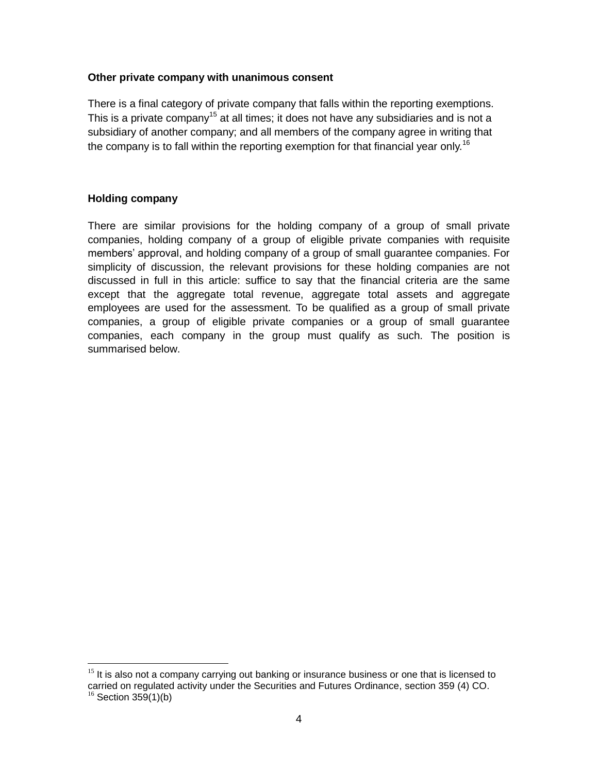#### **Other private company with unanimous consent**

There is a final category of private company that falls within the reporting exemptions. This is a private company<sup>15</sup> at all times; it does not have any subsidiaries and is not a subsidiary of another company; and all members of the company agree in writing that the company is to fall within the reporting exemption for that financial year only.<sup>16</sup>

### **Holding company**

 $\overline{a}$ 

There are similar provisions for the holding company of a group of small private companies, holding company of a group of eligible private companies with requisite members' approval, and holding company of a group of small guarantee companies. For simplicity of discussion, the relevant provisions for these holding companies are not discussed in full in this article: suffice to say that the financial criteria are the same except that the aggregate total revenue, aggregate total assets and aggregate employees are used for the assessment. To be qualified as a group of small private companies, a group of eligible private companies or a group of small guarantee companies, each company in the group must qualify as such. The position is summarised below.

 $15$  It is also not a company carrying out banking or insurance business or one that is licensed to carried on regulated activity under the Securities and Futures Ordinance, section 359 (4) CO.  $16$  Section 359(1)(b)